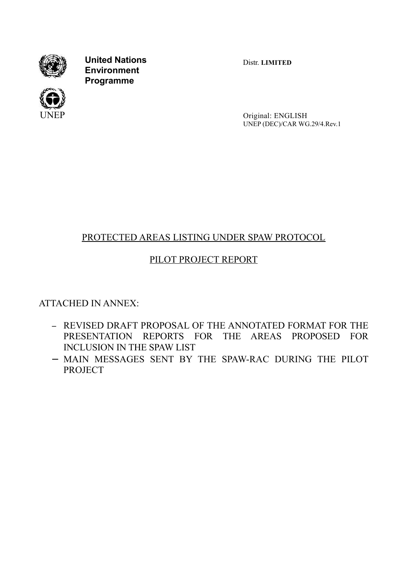

**United Nations Environment Programme**



Distr. **LIMITED**

Original: ENGLISH UNEP (DEC)/CAR WG.29/4.Rev.1

# PROTECTED AREAS LISTING UNDER SPAW PROTOCOL

# PILOT PROJECT REPORT

ATTACHED IN ANNEX:

- − REVISED DRAFT PROPOSAL OF THE ANNOTATED FORMAT FOR THE PRESENTATION REPORTS FOR THE AREAS PROPOSED FOR INCLUSION IN THE SPAW LIST
- − MAIN MESSAGES SENT BY THE SPAW-RAC DURING THE PILOT **PROJECT**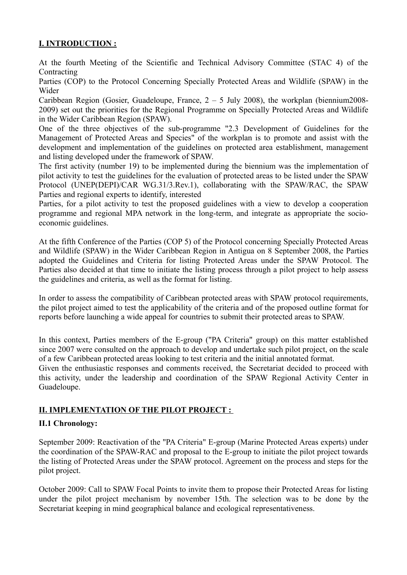# **I. INTRODUCTION :**

At the fourth Meeting of the Scientific and Technical Advisory Committee (STAC 4) of the Contracting

Parties (COP) to the Protocol Concerning Specially Protected Areas and Wildlife (SPAW) in the Wider

Caribbean Region (Gosier, Guadeloupe, France, 2 – 5 July 2008), the workplan (biennium2008- 2009) set out the priorities for the Regional Programme on Specially Protected Areas and Wildlife in the Wider Caribbean Region (SPAW).

One of the three objectives of the sub-programme "2.3 Development of Guidelines for the Management of Protected Areas and Species" of the workplan is to promote and assist with the development and implementation of the guidelines on protected area establishment, management and listing developed under the framework of SPAW.

The first activity (number 19) to be implemented during the biennium was the implementation of pilot activity to test the guidelines for the evaluation of protected areas to be listed under the SPAW Protocol (UNEP(DEPI)/CAR WG.31/3.Rev.1), collaborating with the SPAW/RAC, the SPAW Parties and regional experts to identify, interested

Parties, for a pilot activity to test the proposed guidelines with a view to develop a cooperation programme and regional MPA network in the long-term, and integrate as appropriate the socioeconomic guidelines.

At the fifth Conference of the Parties (COP 5) of the Protocol concerning Specially Protected Areas and Wildlife (SPAW) in the Wider Caribbean Region in Antigua on 8 September 2008, the Parties adopted the Guidelines and Criteria for listing Protected Areas under the SPAW Protocol. The Parties also decided at that time to initiate the listing process through a pilot project to help assess the guidelines and criteria, as well as the format for listing.

In order to assess the compatibility of Caribbean protected areas with SPAW protocol requirements, the pilot project aimed to test the applicability of the criteria and of the proposed outline format for reports before launching a wide appeal for countries to submit their protected areas to SPAW.

In this context, Parties members of the E-group ("PA Criteria" group) on this matter established since 2007 were consulted on the approach to develop and undertake such pilot project, on the scale of a few Caribbean protected areas looking to test criteria and the initial annotated format.

Given the enthusiastic responses and comments received, the Secretariat decided to proceed with this activity, under the leadership and coordination of the SPAW Regional Activity Center in Guadeloupe.

# **II. IMPLEMENTATION OF THE PILOT PROJECT :**

# **II.1 Chronology:**

September 2009: Reactivation of the "PA Criteria" E-group (Marine Protected Areas experts) under the coordination of the SPAW-RAC and proposal to the E-group to initiate the pilot project towards the listing of Protected Areas under the SPAW protocol. Agreement on the process and steps for the pilot project.

October 2009: Call to SPAW Focal Points to invite them to propose their Protected Areas for listing under the pilot project mechanism by november 15th. The selection was to be done by the Secretariat keeping in mind geographical balance and ecological representativeness.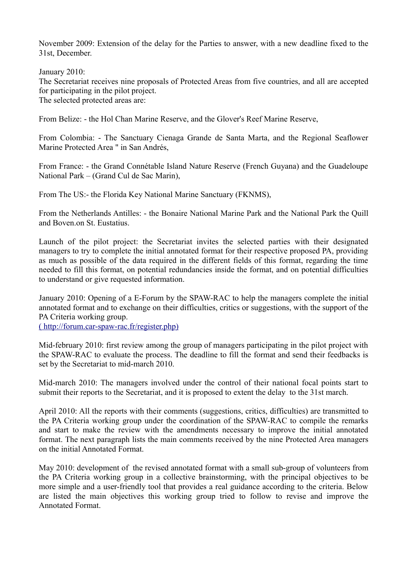November 2009: Extension of the delay for the Parties to answer, with a new deadline fixed to the 31st, December.

January 2010:

The Secretariat receives nine proposals of Protected Areas from five countries, and all are accepted for participating in the pilot project.

The selected protected areas are:

From Belize: - the Hol Chan Marine Reserve, and the Glover's Reef Marine Reserve,

From Colombia: - The Sanctuary Cienaga Grande de Santa Marta, and the Regional Seaflower Marine Protected Area " in San Andrés,

From France: - the Grand Connétable Island Nature Reserve (French Guyana) and the Guadeloupe National Park – (Grand Cul de Sac Marin),

From The US:- the Florida Key National Marine Sanctuary (FKNMS),

From the Netherlands Antilles: - the Bonaire National Marine Park and the National Park the Quill and Boven.on St. Eustatius.

Launch of the pilot project: the Secretariat invites the selected parties with their designated managers to try to complete the initial annotated format for their respective proposed PA, providing as much as possible of the data required in the different fields of this format, regarding the time needed to fill this format, on potential redundancies inside the format, and on potential difficulties to understand or give requested information.

January 2010: Opening of a E-Forum by the SPAW-RAC to help the managers complete the initial annotated format and to exchange on their difficulties, critics or suggestions, with the support of the PA Criteria working group.

[\( http://forum.car-spaw-rac.fr/register.php\)](http://forum.car-spaw-rac.fr/register.php)

Mid-february 2010: first review among the group of managers participating in the pilot project with the SPAW-RAC to evaluate the process. The deadline to fill the format and send their feedbacks is set by the Secretariat to mid-march 2010.

Mid-march 2010: The managers involved under the control of their national focal points start to submit their reports to the Secretariat, and it is proposed to extent the delay to the 31st march.

April 2010: All the reports with their comments (suggestions, critics, difficulties) are transmitted to the PA Criteria working group under the coordination of the SPAW-RAC to compile the remarks and start to make the review with the amendments necessary to improve the initial annotated format. The next paragraph lists the main comments received by the nine Protected Area managers on the initial Annotated Format.

May 2010: development of the revised annotated format with a small sub-group of volunteers from the PA Criteria working group in a collective brainstorming, with the principal objectives to be more simple and a user-friendly tool that provides a real guidance according to the criteria. Below are listed the main objectives this working group tried to follow to revise and improve the Annotated Format.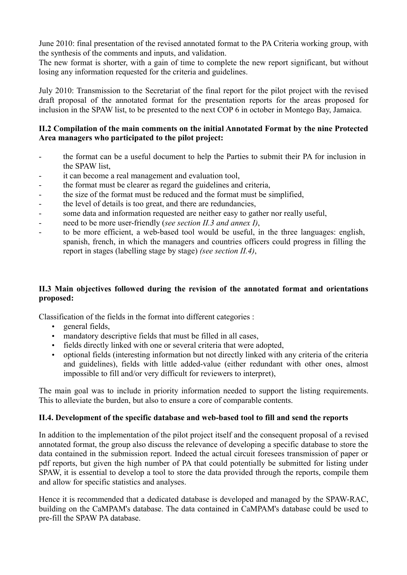June 2010: final presentation of the revised annotated format to the PA Criteria working group, with the synthesis of the comments and inputs, and validation.

The new format is shorter, with a gain of time to complete the new report significant, but without losing any information requested for the criteria and guidelines.

July 2010: Transmission to the Secretariat of the final report for the pilot project with the revised draft proposal of the annotated format for the presentation reports for the areas proposed for inclusion in the SPAW list, to be presented to the next COP 6 in october in Montego Bay, Jamaica.

# **II.2 Compilation of the main comments on the initial Annotated Format by the nine Protected Area managers who participated to the pilot project:**

- the format can be a useful document to help the Parties to submit their PA for inclusion in the SPAW list,
- it can become a real management and evaluation tool,
- the format must be clearer as regard the guidelines and criteria,
- the size of the format must be reduced and the format must be simplified,
- the level of details is too great, and there are redundancies,
- some data and information requested are neither easy to gather nor really useful,
- need to be more user-friendly (*see section II.3 and annex I)*,
- to be more efficient, a web-based tool would be useful, in the three languages: english, spanish, french, in which the managers and countries officers could progress in filling the report in stages (labelling stage by stage) *(see section II.4)*,

# **II.3 Main objectives followed during the revision of the annotated format and orientations proposed:**

Classification of the fields in the format into different categories :

- general fields,
- mandatory descriptive fields that must be filled in all cases,
- fields directly linked with one or several criteria that were adopted,
- optional fields (interesting information but not directly linked with any criteria of the criteria and guidelines), fields with little added-value (either redundant with other ones, almost impossible to fill and/or very difficult for reviewers to interpret),

The main goal was to include in priority information needed to support the listing requirements. This to alleviate the burden, but also to ensure a core of comparable contents.

# **II.4. Development of the specific database and web-based tool to fill and send the reports**

In addition to the implementation of the pilot project itself and the consequent proposal of a revised annotated format, the group also discuss the relevance of developing a specific database to store the data contained in the submission report. Indeed the actual circuit foresees transmission of paper or pdf reports, but given the high number of PA that could potentially be submitted for listing under SPAW, it is essential to develop a tool to store the data provided through the reports, compile them and allow for specific statistics and analyses.

Hence it is recommended that a dedicated database is developed and managed by the SPAW-RAC, building on the CaMPAM's database. The data contained in CaMPAM's database could be used to pre-fill the SPAW PA database.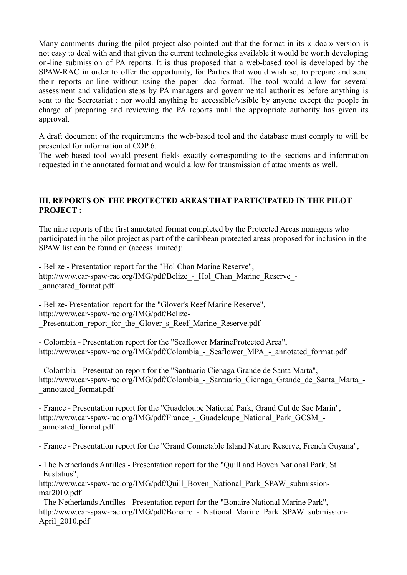Many comments during the pilot project also pointed out that the format in its « .doc » version is not easy to deal with and that given the current technologies available it would be worth developing on-line submission of PA reports. It is thus proposed that a web-based tool is developed by the SPAW-RAC in order to offer the opportunity, for Parties that would wish so, to prepare and send their reports on-line without using the paper .doc format. The tool would allow for several assessment and validation steps by PA managers and governmental authorities before anything is sent to the Secretariat ; nor would anything be accessible/visible by anyone except the people in charge of preparing and reviewing the PA reports until the appropriate authority has given its approval.

A draft document of the requirements the web-based tool and the database must comply to will be presented for information at COP 6.

The web-based tool would present fields exactly corresponding to the sections and information requested in the annotated format and would allow for transmission of attachments as well.

# **III. REPORTS ON THE PROTECTED AREAS THAT PARTICIPATED IN THE PILOT PROJECT :**

The nine reports of the first annotated format completed by the Protected Areas managers who participated in the pilot project as part of the caribbean protected areas proposed for inclusion in the SPAW list can be found on (access limited):

- Belize - Presentation report for the "Hol Chan Marine Reserve", http://www.car-spaw-rac.org/IMG/pdf/Belize - Hol Chan Marine Reserve -\_annotated\_format.pdf

- Belize- Presentation report for the "Glover's Reef Marine Reserve", http://www.car-spaw-rac.org/IMG/pdf/Belize- Presentation report for the Glover s Reef Marine Reserve.pdf

- Colombia - Presentation report for the "Seaflower MarineProtected Area", http://www.car-spaw-rac.org/IMG/pdf/Colombia - Seaflower MPA - annotated format.pdf

- Colombia - Presentation report for the "Santuario Cienaga Grande de Santa Marta", http://www.car-spaw-rac.org/IMG/pdf/Colombia - Santuario Cienaga Grande de Santa Marta -\_annotated\_format.pdf

- France - Presentation report for the "Guadeloupe National Park, Grand Cul de Sac Marin", http://www.car-spaw-rac.org/IMG/pdf/France - Guadeloupe National Park GCSM -\_annotated\_format.pdf

- France - Presentation report for the "Grand Connetable Island Nature Reserve, French Guyana",

- The Netherlands Antilles - Presentation report for the "Quill and Boven National Park, St Eustatius",

http://www.car-spaw-rac.org/IMG/pdf/Quill\_Boven\_National\_Park\_SPAW\_submissionmar2010.pdf

- The Netherlands Antilles - Presentation report for the "Bonaire National Marine Park", http://www.car-spaw-rac.org/IMG/pdf/Bonaire - National Marine Park SPAW submission-April\_2010.pdf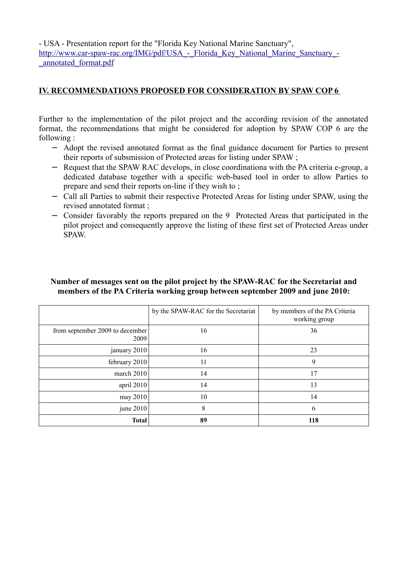- USA - Presentation report for the "Florida Key National Marine Sanctuary", http://www.car-spaw-rac.org/IMG/pdf/USA - Florida Key National Marine Sanctuary -[\\_annotated\\_format.pdf](http://www.car-spaw-rac.org/IMG/pdf/USA_-_Florida_Key_National_Marine_Sanctuary_-_annotated_format.pdf)

## **IV. RECOMMENDATIONS PROPOSED FOR CONSIDERATION BY SPAW COP 6**

Further to the implementation of the pilot project and the according revision of the annotated format, the recommendations that might be considered for adoption by SPAW COP 6 are the following :

- − Adopt the revised annotated format as the final guidance document for Parties to present their reports of subsmission of Protected areas for listing under SPAW ;
- − Request that the SPAW RAC develops, in close coordinationa with the PA criteria e-group, a dedicated database together with a specific web-based tool in order to allow Parties to prepare and send their reports on-line if they wish to ;
- − Call all Parties to submit their respective Protected Areas for listing under SPAW, using the revised annotated format ;
- − Consider favorably the reports prepared on the 9 Protected Areas that participated in the pilot project and consequently approve the listing of these first set of Protected Areas under SPAW.

|                                         | by the SPAW-RAC for the Secretariat | by members of the PA Criteria<br>working group |
|-----------------------------------------|-------------------------------------|------------------------------------------------|
| from september 2009 to december<br>2009 | 16                                  | 36                                             |
| january 2010                            | 16                                  | 23                                             |
| february $2010$                         | 11                                  | 9                                              |
| march $2010$                            | 14                                  | 17                                             |
| april 2010                              | 14                                  | 13                                             |
| may $2010$                              | 10                                  | 14                                             |
| june $2010$                             | 8                                   | 6                                              |
| <b>Total</b>                            | 89                                  | 118                                            |

## **Number of messages sent on the pilot project by the SPAW-RAC for the Secretariat and members of the PA Criteria working group between september 2009 and june 2010:**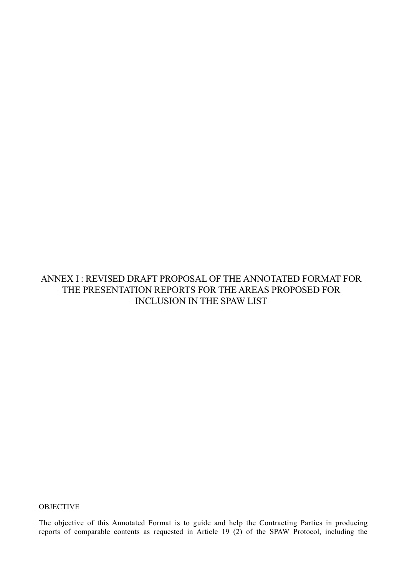# ANNEX I : REVISED DRAFT PROPOSAL OF THE ANNOTATED FORMAT FOR THE PRESENTATION REPORTS FOR THE AREAS PROPOSED FOR INCLUSION IN THE SPAW LIST

**OBJECTIVE** 

The objective of this Annotated Format is to guide and help the Contracting Parties in producing reports of comparable contents as requested in Article 19 (2) of the SPAW Protocol, including the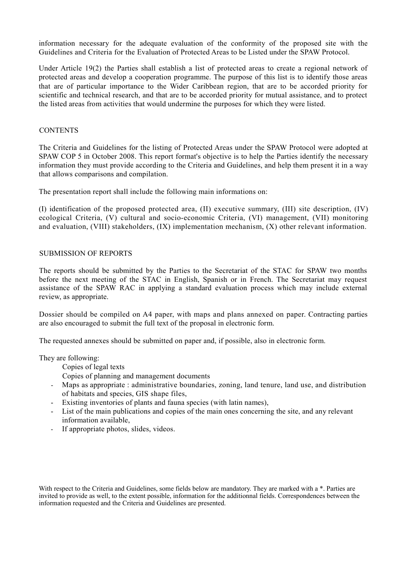information necessary for the adequate evaluation of the conformity of the proposed site with the Guidelines and Criteria for the Evaluation of Protected Areas to be Listed under the SPAW Protocol.

Under Article 19(2) the Parties shall establish a list of protected areas to create a regional network of protected areas and develop a cooperation programme. The purpose of this list is to identify those areas that are of particular importance to the Wider Caribbean region, that are to be accorded priority for scientific and technical research, and that are to be accorded priority for mutual assistance, and to protect the listed areas from activities that would undermine the purposes for which they were listed.

#### **CONTENTS**

The Criteria and Guidelines for the listing of Protected Areas under the SPAW Protocol were adopted at SPAW COP 5 in October 2008. This report format's objective is to help the Parties identify the necessary information they must provide according to the Criteria and Guidelines, and help them present it in a way that allows comparisons and compilation.

The presentation report shall include the following main informations on:

(I) identification of the proposed protected area, (II) executive summary, (III) site description, (IV) ecological Criteria, (V) cultural and socio-economic Criteria, (VI) management, (VII) monitoring and evaluation, (VIII) stakeholders, (IX) implementation mechanism, (X) other relevant information.

#### SUBMISSION OF REPORTS

The reports should be submitted by the Parties to the Secretariat of the STAC for SPAW two months before the next meeting of the STAC in English, Spanish or in French. The Secretariat may request assistance of the SPAW RAC in applying a standard evaluation process which may include external review, as appropriate.

Dossier should be compiled on A4 paper, with maps and plans annexed on paper. Contracting parties are also encouraged to submit the full text of the proposal in electronic form.

The requested annexes should be submitted on paper and, if possible, also in electronic form.

They are following:

Copies of legal texts

- Copies of planning and management documents
- Maps as appropriate : administrative boundaries, zoning, land tenure, land use, and distribution of habitats and species, GIS shape files,
- Existing inventories of plants and fauna species (with latin names),
- List of the main publications and copies of the main ones concerning the site, and any relevant information available,
- If appropriate photos, slides, videos.

With respect to the Criteria and Guidelines, some fields below are mandatory. They are marked with a \*. Parties are invited to provide as well, to the extent possible, information for the additionnal fields. Correspondences between the information requested and the Criteria and Guidelines are presented.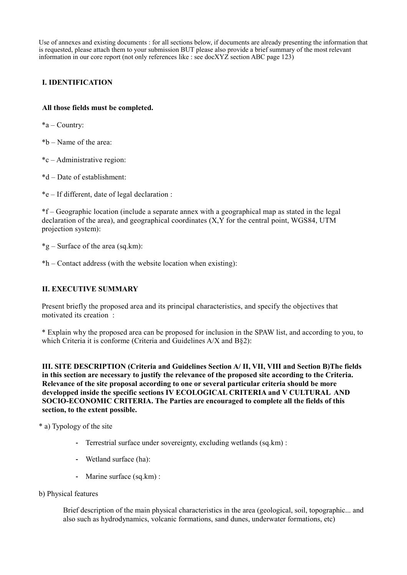Use of annexes and existing documents : for all sections below, if documents are already presenting the information that is requested, please attach them to your submission BUT please also provide a brief summary of the most relevant information in our core report (not only references like : see docXYZ section ABC page 123)

## **I. IDENTIFICATION**

### **All those fields must be completed.**

\*a – Country:

\*b – Name of the area:

\*c – Administrative region:

\*d – Date of establishment:

\*e – If different, date of legal declaration :

\*f – Geographic location (include a separate annex with a geographical map as stated in the legal declaration of the area), and geographical coordinates (X,Y for the central point, WGS84, UTM projection system):

\*g – Surface of the area (sq.km):

\*h – Contact address (with the website location when existing):

### **II. EXECUTIVE SUMMARY**

Present briefly the proposed area and its principal characteristics, and specify the objectives that motivated its creation :

\* Explain why the proposed area can be proposed for inclusion in the SPAW list, and according to you, to which Criteria it is conforme (Criteria and Guidelines A/X and B§2):

**III. SITE DESCRIPTION (Criteria and Guidelines Section A/ II, VII, VIII and Section B)The fields in this section are necessary to justify the relevance of the proposed site according to the Criteria. Relevance of the site proposal according to one or several particular criteria should be more developped inside the specific sections IV ECOLOGICAL CRITERIA and V CULTURAL AND SOCIO-ECONOMIC CRITERIA. The Parties are encouraged to complete all the fields of this section, to the extent possible.**

\* a) Typology of the site

- Terrestrial surface under sovereignty, excluding wetlands (sq.km) :
- Wetland surface (ha):
- Marine surface (sq.km) :
- b) Physical features

Brief description of the main physical characteristics in the area (geological, soil, topographic... and also such as hydrodynamics, volcanic formations, sand dunes, underwater formations, etc)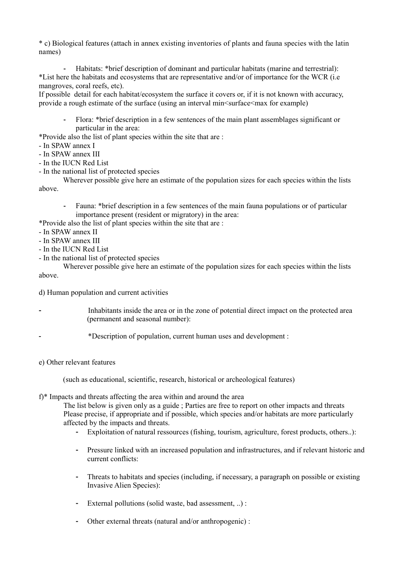\* c) Biological features (attach in annex existing inventories of plants and fauna species with the latin names)

- Habitats: \*brief description of dominant and particular habitats (marine and terrestrial): \*List here the habitats and ecosystems that are representative and/or of importance for the WCR (i.e mangroves, coral reefs, etc).

If possible detail for each habitat/ecosystem the surface it covers or, if it is not known with accuracy, provide a rough estimate of the surface (using an interval min<surface<max for example)

- Flora: \*brief description in a few sentences of the main plant assemblages significant or particular in the area:

\*Provide also the list of plant species within the site that are :

- In SPAW annex I
- In SPAW annex III
- In the IUCN Red List
- In the national list of protected species

Wherever possible give here an estimate of the population sizes for each species within the lists above.

- Fauna: \*brief description in a few sentences of the main fauna populations or of particular importance present (resident or migratory) in the area:
- \*Provide also the list of plant species within the site that are :
- In SPAW annex II
- In SPAW annex III
- In the IUCN Red List
- In the national list of protected species

Wherever possible give here an estimate of the population sizes for each species within the lists above.

d) Human population and current activities

- Inhabitants inside the area or in the zone of potential direct impact on the protected area (permanent and seasonal number):
	- \*Description of population, current human uses and development :
- e) Other relevant features

(such as educational, scientific, research, historical or archeological features)

f)\* Impacts and threats affecting the area within and around the area

The list below is given only as a guide ; Parties are free to report on other impacts and threats Please precise, if appropriate and if possible, which species and/or habitats are more particularly affected by the impacts and threats.

- Exploitation of natural ressources (fishing, tourism, agriculture, forest products, others..):
- Pressure linked with an increased population and infrastructures, and if relevant historic and current conflicts:
- Threats to habitats and species (including, if necessary, a paragraph on possible or existing Invasive Alien Species):
- External pollutions (solid waste, bad assessment, ..) :
- Other external threats (natural and/or anthropogenic) :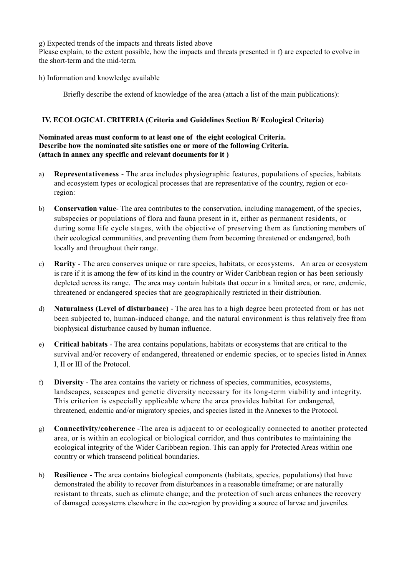g) Expected trends of the impacts and threats listed above

Please explain, to the extent possible, how the impacts and threats presented in f) are expected to evolve in the short-term and the mid-term.

h) Information and knowledge available

Briefly describe the extend of knowledge of the area (attach a list of the main publications):

### **IV. ECOLOGICAL CRITERIA (Criteria and Guidelines Section B/ Ecological Criteria)**

#### **Nominated areas must conform to at least one of the eight ecological Criteria. Describe how the nominated site satisfies one or more of the following Criteria. (attach in annex any specific and relevant documents for it )**

- a) **Representativeness** The area includes physiographic features, populations of species, habitats and ecosystem types or ecological processes that are representative of the country, region or ecoregion:
- b) **Conservation value** The area contributes to the conservation, including management, of the species, subspecies or populations of flora and fauna present in it, either as permanent residents, or during some life cycle stages, with the objective of preserving them as functioning members of their ecological communities, and preventing them from becoming threatened or endangered, both locally and throughout their range.
- c) **Rarity** The area conserves unique or rare species, habitats, or ecosystems. An area or ecosystem is rare if it is among the few of its kind in the country or Wider Caribbean region or has been seriously depleted across its range. The area may contain habitats that occur in a limited area, or rare, endemic, threatened or endangered species that are geographically restricted in their distribution.
- d) **Naturalness (Level of disturbance)** The area has to a high degree been protected from or has not been subjected to, human-induced change, and the natural environment is thus relatively free from biophysical disturbance caused by human influence.
- e) **Critical habitats** The area contains populations, habitats or ecosystems that are critical to the survival and/or recovery of endangered, threatened or endemic species, or to species listed in Annex I, II or III of the Protocol.
- f) **Diversity** The area contains the variety or richness of species, communities, ecosystems, landscapes, seascapes and genetic diversity necessary for its long-term viability and integrity. This criterion is especially applicable where the area provides habitat for endangered, threatened, endemic and/or migratory species, and species listed in the Annexes to the Protocol.
- g) **Connectivity/coherence** -The area is adjacent to or ecologically connected to another protected area, or is within an ecological or biological corridor, and thus contributes to maintaining the ecological integrity of the Wider Caribbean region. This can apply for Protected Areas within one country or which transcend political boundaries.
- h) **Resilience** The area contains biological components (habitats, species, populations) that have demonstrated the ability to recover from disturbances in a reasonable timeframe; or are naturally resistant to threats, such as climate change; and the protection of such areas enhances the recovery of damaged ecosystems elsewhere in the eco-region by providing a source of larvae and juveniles.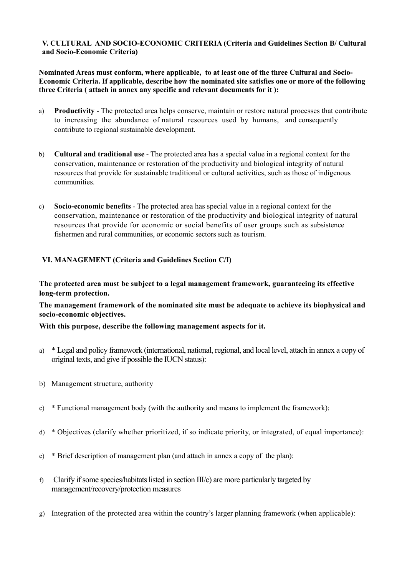### **V. CULTURAL AND SOCIO-ECONOMIC CRITERIA (Criteria and Guidelines Section B/ Cultural and Socio-Economic Criteria)**

**Nominated Areas must conform, where applicable, to at least one of the three Cultural and Socio-Economic Criteria. If applicable, describe how the nominated site satisfies one or more of the following three Criteria ( attach in annex any specific and relevant documents for it ):**

- a) **Productivity** The protected area helps conserve, maintain or restore natural processes that contribute to increasing the abundance of natural resources used by humans, and consequently contribute to regional sustainable development.
- b) **Cultural and traditional use** The protected area has a special value in a regional context for the conservation, maintenance or restoration of the productivity and biological integrity of natural resources that provide for sustainable traditional or cultural activities, such as those of indigenous communities.
- c) **Socio-economic benefits** The protected area has special value in a regional context for the conservation, maintenance or restoration of the productivity and biological integrity of natural resources that provide for economic or social benefits of user groups such as subsistence fishermen and rural communities, or economic sectors such as tourism.

## **VI. MANAGEMENT (Criteria and Guidelines Section C/I)**

**The protected area must be subject to a legal management framework, guaranteeing its effective long-term protection.** 

**The management framework of the nominated site must be adequate to achieve its biophysical and socio-economic objectives.**

**With this purpose, describe the following management aspects for it.**

- a) \* Legal and policy framework (international, national, regional, and local level, attach in annex a copy of original texts, and give if possible the IUCN status):
- b) Management structure, authority
- c)  $*$  Functional management body (with the authority and means to implement the framework):
- d) \* Objectives (clarify whether prioritized, if so indicate priority, or integrated, of equal importance):
- e) \* Brief description of management plan (and attach in annex a copy of the plan):
- f) Clarify if some species/habitats listed in section III/c) are more particularly targeted by management/recovery/protection measures
- g) Integration of the protected area within the country's larger planning framework (when applicable):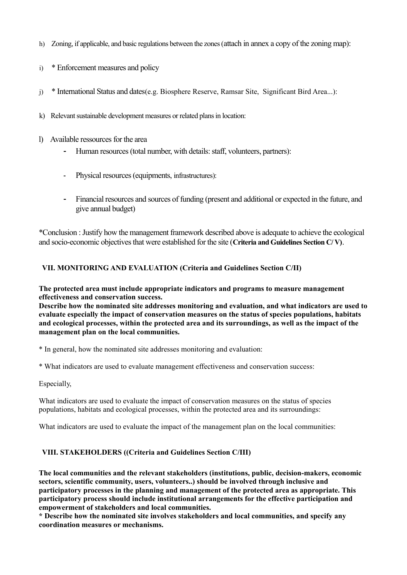- h) Zoning, if applicable, and basic regulations between the zones (attach in annex a copy of the zoning map):
- i) \* Enforcement measures and policy
- j) \* International Status and dates(e.g. Biosphere Reserve, Ramsar Site, Significant Bird Area...):
- k) Relevant sustainable development measures or related plans in location:
- l) Available ressources for the area
	- Human resources (total number, with details: staff, volunteers, partners):
	- Physical resources (equipments, infrastructures):
	- Financial resources and sources of funding (present and additional or expected in the future, and give annual budget)

\*Conclusion : Justify how the management framework described above is adequate to achieve the ecological and socio-economic objectives that were established for the site (**Criteria and Guidelines Section C/ V)**.

# **VII. MONITORING AND EVALUATION (Criteria and Guidelines Section C/II)**

**The protected area must include appropriate indicators and programs to measure management effectiveness and conservation success.** 

**Describe how the nominated site addresses monitoring and evaluation, and what indicators are used to evaluate especially the impact of conservation measures on the status of species populations, habitats and ecological processes, within the protected area and its surroundings, as well as the impact of the management plan on the local communities.** 

\* In general, how the nominated site addresses monitoring and evaluation:

\* What indicators are used to evaluate management effectiveness and conservation success:

Especially,

What indicators are used to evaluate the impact of conservation measures on the status of species populations, habitats and ecological processes, within the protected area and its surroundings:

What indicators are used to evaluate the impact of the management plan on the local communities:

### **VIII. STAKEHOLDERS ((Criteria and Guidelines Section C/III)**

**The local communities and the relevant stakeholders (institutions, public, decision-makers, economic sectors, scientific community, users, volunteers..) should be involved through inclusive and participatory processes in the planning and management of the protected area as appropriate. This participatory process should include institutional arrangements for the effective participation and empowerment of stakeholders and local communities.** 

**\* Describe how the nominated site involves stakeholders and local communities, and specify any coordination measures or mechanisms.**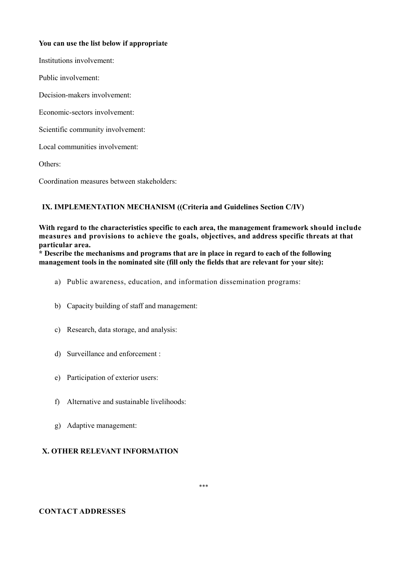#### **You can use the list below if appropriate**

Institutions involvement:

Public involvement:

Decision-makers involvement:

Economic-sectors involvement:

Scientific community involvement:

Local communities involvement:

Others:

Coordination measures between stakeholders:

#### **IX. IMPLEMENTATION MECHANISM ((Criteria and Guidelines Section C/IV)**

**With regard to the characteristics specific to each area, the management framework should include measures and provisions to achieve the goals, objectives, and address specific threats at that particular area.** 

**\* Describe the mechanisms and programs that are in place in regard to each of the following management tools in the nominated site (fill only the fields that are relevant for your site):** 

- a) Public awareness, education, and information dissemination programs:
- b) Capacity building of staff and management:
- c) Research, data storage, and analysis:
- d) Surveillance and enforcement :
- e) Participation of exterior users:
- f) Alternative and sustainable livelihoods:
- g) Adaptive management:

### **X. OTHER RELEVANT INFORMATION**

#### **CONTACT ADDRESSES**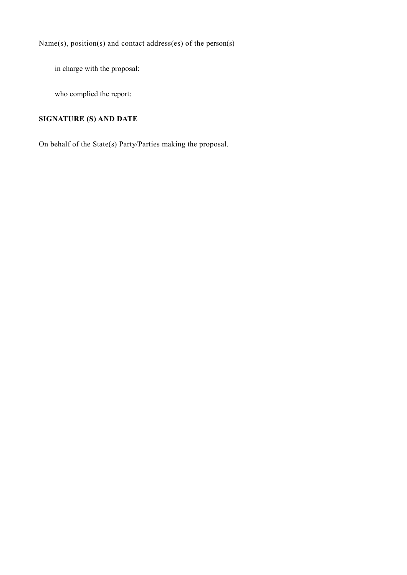Name(s), position(s) and contact address(es) of the person(s)

in charge with the proposal:

who complied the report:

# **SIGNATURE (S) AND DATE**

On behalf of the State(s) Party/Parties making the proposal.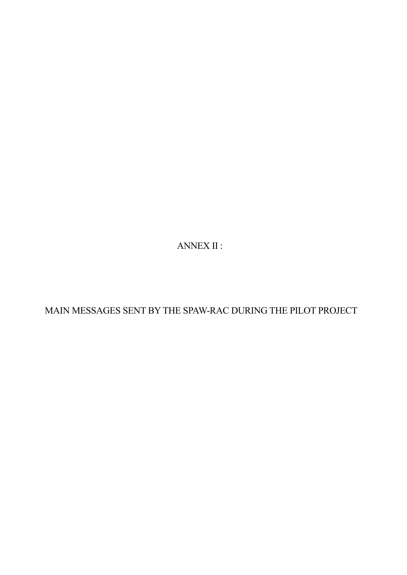ANNEX II :

MAIN MESSAGES SENT BY THE SPAW-RAC DURING THE PILOT PROJECT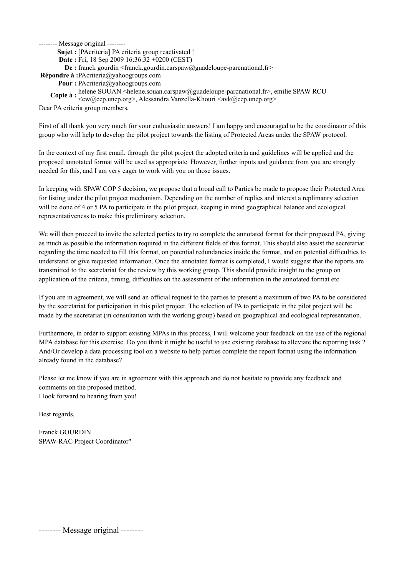**Sujet :** [PAcriteria] PA criteria group reactivated !

**Date :** Fri, 18 Sep 2009 16:36:32 +0200 (CEST)

**De** : franck gourdin <franck.gourdin.carspaw@guadeloupe-parcnational.fr>

**Répondre à :**PAcriteria@yahoogroups.com

**Pour :** PAcriteria@yahoogroups.com

**Copie à :** helene SOUAN <helene.souan.carspaw@guadeloupe-parcnational.fr>, emilie SPAW RCU

<ew@cep.unep.org>, Alessandra Vanzella-Khouri <avk@cep.unep.org>

Dear PA criteria group members,

First of all thank you very much for your enthusiastic answers! I am happy and encouraged to be the coordinator of this group who will help to develop the pilot project towards the listing of Protected Areas under the SPAW protocol.

In the context of my first email, through the pilot project the adopted criteria and guidelines will be applied and the proposed annotated format will be used as appropriate. However, further inputs and guidance from you are strongly needed for this, and I am very eager to work with you on those issues.

In keeping with SPAW COP 5 decision, we propose that a broad call to Parties be made to propose their Protected Area for listing under the pilot project mechanism. Depending on the number of replies and interest a replimanry selection will be done of 4 or 5 PA to participate in the pilot project, keeping in mind geographical balance and ecological representativeness to make this preliminary selection.

We will then proceed to invite the selected parties to try to complete the annotated format for their proposed PA, giving as much as possible the information required in the different fields of this format. This should also assist the secretariat regarding the time needed to fill this format, on potential redundancies inside the format, and on potential difficulties to understand or give requested information. Once the annotated format is completed, I would suggest that the reports are transmitted to the secretariat for the review by this working group. This should provide insight to the group on application of the criteria, timing, difficulties on the assessment of the information in the annotated format etc.

If you are in agreement, we will send an official request to the parties to present a maximum of two PA to be considered by the secretariat for participation in this pilot project. The selection of PA to participate in the pilot project will be made by the secretariat (in consultation with the working group) based on geographical and ecological representation.

Furthermore, in order to support existing MPAs in this process, I will welcome your feedback on the use of the regional MPA database for this exercise. Do you think it might be useful to use existing database to alleviate the reporting task ? And/Or develop a data processing tool on a website to help parties complete the report format using the information already found in the database?

Please let me know if you are in agreement with this approach and do not hesitate to provide any feedback and comments on the proposed method. I look forward to hearing from you!

Best regards,

Franck GOURDIN SPAW-RAC Project Coordinator"

-------- Message original --------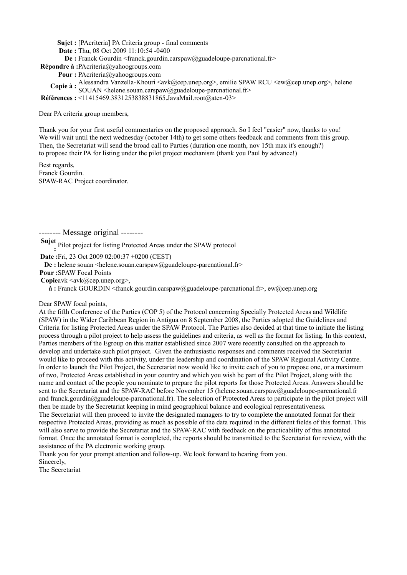**Sujet :** [PAcriteria] PA Criteria group - final comments

**Date :** Thu, 08 Oct 2009 11:10:54 -0400

**De** : Franck Gourdin <franck.gourdin.carspaw@guadeloupe-parcnational.fr>

**Répondre à :**PAcriteria@yahoogroups.com

**Pour :** PAcriteria@yahoogroups.com

Copie à : Alessandra Vanzella-Khouri <avk@cep.unep.org>, emilie SPAW RCU <ew@cep.unep.org>, helene SOUAN <helene.souan.carspaw@guadeloupe-parcnational.fr>

**Références :** <11415469.3831253838831865.JavaMail.root@aten-03>

Dear PA criteria group members,

Thank you for your first useful commentaries on the proposed approach. So I feel "easier" now, thanks to you! We will wait until the next wednesday (october 14th) to get some others feedback and comments from this group. Then, the Secretariat will send the broad call to Parties (duration one month, nov 15th max it's enough?) to propose their PA for listing under the pilot project mechanism (thank you Paul by advance!)

Best regards, Franck Gourdin. SPAW-RAC Project coordinator.

-------- Message original --------

**Sujet :**  Pilot project for listing Protected Areas under the SPAW protocol

**Date :**Fri, 23 Oct 2009 02:00:37 +0200 (CEST)

**De** : helene souan <helene.souan.carspaw@guadeloupe-parcnational.fr>

**Pour :**SPAW Focal Points

**Copie** avk <avk@cep.unep.org>,

**à :**  Franck GOURDIN <franck.gourdin.carspaw@guadeloupe-parcnational.fr>, ew@cep.unep.org

Dear SPAW focal points,

At the fifth Conference of the Parties (COP 5) of the Protocol concerning Specially Protected Areas and Wildlife (SPAW) in the Wider Caribbean Region in Antigua on 8 September 2008, the Parties adopted the Guidelines and Criteria for listing Protected Areas under the SPAW Protocol. The Parties also decided at that time to initiate the listing process through a pilot project to help assess the guidelines and criteria, as well as the format for listing. In this context, Parties members of the Egroup on this matter established since 2007 were recently consulted on the approach to develop and undertake such pilot project. Given the enthusiastic responses and comments received the Secretariat would like to proceed with this activity, under the leadership and coordination of the SPAW Regional Activity Centre. In order to launch the Pilot Project, the Secretariat now would like to invite each of you to propose one, or a maximum of two, Protected Areas established in your country and which you wish be part of the Pilot Project, along with the name and contact of the people you nominate to prepare the pilot reports for those Protected Areas. Answers should be sent to the Secretariat and the SPAW-RAC before November 15 (helene.souan.carspaw@guadeloupe-parcnational.fr and franck.gourdin@guadeloupe-parcnational.fr). The selection of Protected Areas to participate in the pilot project will then be made by the Secretariat keeping in mind geographical balance and ecological representativeness. The Secretariat will then proceed to invite the designated managers to try to complete the annotated format for their respective Protected Areas, providing as much as possible of the data required in the different fields of this format. This will also serve to provide the Secretariat and the SPAW-RAC with feedback on the practicability of this annotated format. Once the annotated format is completed, the reports should be transmitted to the Secretariat for review, with the assistance of the PA electronic working group.

Thank you for your prompt attention and follow-up. We look forward to hearing from you. Sincerely,

The Secretariat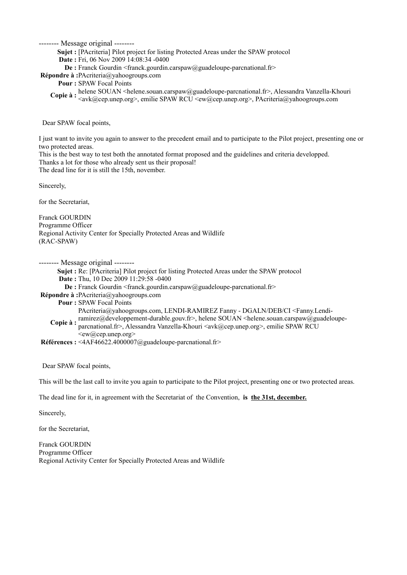**Sujet :** [PAcriteria] Pilot project for listing Protected Areas under the SPAW protocol

**Date :** Fri, 06 Nov 2009 14:08:34 -0400

**De :** Franck Gourdin <franck.gourdin.carspaw@guadeloupe-parcnational.fr>

**Répondre à :**PAcriteria@yahoogroups.com

**Pour :** SPAW Focal Points

**Copie à :** helene SOUAN <helene.souan.carspaw@guadeloupe-parcnational.fr>, Alessandra Vanzella-Khouri<br> **Copie à :** Coult@een unen ere>, emilie SDAW DCU Cour@een unen ere>, DA criterie@unhecereune.com <avk@cep.unep.org>, emilie SPAW RCU <ew@cep.unep.org>, PAcriteria@yahoogroups.com

Dear SPAW focal points,

I just want to invite you again to answer to the precedent email and to participate to the Pilot project, presenting one or two protected areas.

This is the best way to test both the annotated format proposed and the guidelines and criteria developped. Thanks a lot for those who already sent us their proposal! The dead line for it is still the 15th, november.

Sincerely,

for the Secretariat,

Franck GOURDIN Programme Officer Regional Activity Center for Specially Protected Areas and Wildlife (RAC-SPAW)

-------- Message original --------

**Sujet :** Re: [PAcriteria] Pilot project for listing Protected Areas under the SPAW protocol

**Date :** Thu, 10 Dec 2009 11:29:58 -0400

**De** : Franck Gourdin <franck.gourdin.carspaw@guadeloupe-parcnational.fr>

**Répondre à :**PAcriteria@yahoogroups.com

**Pour :** SPAW Focal Points

PAcriteria@yahoogroups.com, LENDI-RAMIREZ Fanny - DGALN/DEB/CI <Fanny.Lendi-

**Copie à :** ramirez@developpement-durable.gouv.fr>, helene SOUAN <helene.souan.carspaw@guadeloupe-<br>Copie à : receptional fr> Alessandre Vanaelle Khauri <sub@ega.upen.cars\ emilie SDAW DCU

parcnational.fr>, Alessandra Vanzella-Khouri <avk@cep.unep.org>, emilie SPAW RCU  $\langle$ ew@cep.unep.org $>$ 

**Références :** <4AF46622.4000007@guadeloupe-parcnational.fr>

Dear SPAW focal points,

This will be the last call to invite you again to participate to the Pilot project, presenting one or two protected areas.

The dead line for it, in agreement with the Secretariat of the Convention, **is the 31st, december.**

Sincerely,

for the Secretariat,

Franck GOURDIN Programme Officer Regional Activity Center for Specially Protected Areas and Wildlife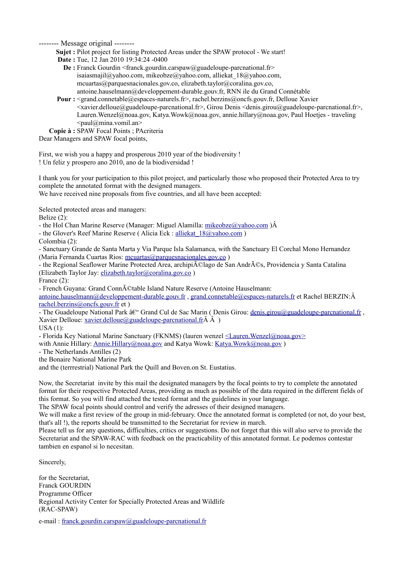**Sujet :** Pilot project for listing Protected Areas under the SPAW protocol - We start!

**Date :** Tue, 12 Jan 2010 19:34:24 -0400

- **De :** Franck Gourdin <franck.gourdin.carspaw@guadeloupe-parcnational.fr> isaiasmajil@yahoo.com, mikeobze@yahoo.com, alliekat\_18@yahoo.com, mcuartas@parquesnacionales.gov.co, elizabeth.taylor@coralina.gov.co, antoine.hauselmann@developpement-durable.gouv.fr, RNN ile du Grand Connétable
- **Pour :**  <grand.connetable@espaces-naturels.fr>, rachel.berzins@oncfs.gouv.fr, Delloue Xavier  $\leq$ xavier.delloue@guadeloupe-parcnational.fr>, Girou Denis  $\leq$ denis.girou@guadeloupe-parcnational.fr>, Lauren.Wenzel@noaa.gov, Katya.Wowk@noaa.gov, annie.hillary@noaa.gov, Paul Hoetjes - traveling  $\le$ paul@mina.vomil.an>

**Copie à :** SPAW Focal Points ; PAcriteria

Dear Managers and SPAW focal points,

First, we wish you a happy and prosperous 2010 year of the biodiversity ! ! Un feliz y prospero ano 2010, ano de la biodiversidad !

I thank you for your participation to this pilot project, and particularly those who proposed their Protected Area to try complete the annotated format with the designed managers.

We have received nine proposals from five countries, and all have been accepted:

Selected protected areas and managers:

Belize (2):

- the Hol Chan Marine Reserve (Manager: Miguel Alamilla: mikeobze@yahoo.com) A

- the Glover's Reef Marine Reserve ( Alicia Eck : alliekat  $18@$ yahoo.com )

Colombia (2):

- Sanctuary Grande de Santa Marta y Via Parque Isla Salamanca, with the Sanctuary El Corchal Mono Hernandez (Maria Fernanda Cuartas Rios: [mcuartas@parquesnacionales.gov.co](mailto:mcuartas@parquesnacionales.gov.co) )

- the Regional Seaflower Marine Protected Area, archipiélago de San Andrés, Providencia y Santa Catalina (Elizabeth Taylor Jay: [elizabeth.taylor@coralina.gov.co](mailto:elizabeth.taylor@coralina.gov.co) )

France (2):

- French Guyana: Grand Connétable Island Nature Reserve (Antoine Hauselmann:

[antoine.hauselmann@developpement-durable.gouv.fr](mailto:antoine.hauselmann@developpement-durable.gouv.fr) , [grand.connetable@espaces-naturels.fr](mailto:grand.connetable@espaces-naturels.fr) et Rachel BERZIN:Â [rachel.berzins@oncfs.gouv.fr](mailto:rachel.berzins@oncfs.gouv.fr) et )

- The Guadeloupe National Park  $\hat{a}\in \hat{C}$  Grand Cul de Sac Marin (Denis Girou: [denis.girou@guadeloupe-parcnational.fr](mailto:denis.girou@guadeloupe-parcnational.fr) , Xavier Delloue: xavier.delloue@guadeloupe-parcnational.fr $\hat{A}$   $\hat{A}$ )

USA (1):

- Florida Key National Marine Sanctuary (FKNMS) (lauren wenzel [<Lauren.Wenzel@noaa.gov>](mailto:Lauren.Wenzel@noaa.gov)

with Annie Hillary: [Annie.Hillary@noaa.gov](mailto:Annie.Hillary@noaa.gov) and Katya Wowk: Katya.Wowk@noaa.gov)

- The Netherlands Antilles (2)

the Bonaire National Marine Park

and the (terrrestrial) National Park the Quill and Boven.on St. Eustatius.

Now, the Secretariat invite by this mail the designated managers by the focal points to try to complete the annotated format for their respective Protected Areas, providing as much as possible of the data required in the different fields of this format. So you will find attached the tested format and the guidelines in your language.

The SPAW focal points should control and verify the adresses of their designed managers.

We will make a first review of the group in mid-february. Once the annotated format is completed (or not, do your best, that's all !), the reports should be transmitted to the Secretariat for review in march.

Please tell us for any questions, difficulties, critics or suggestions. Do not forget that this will also serve to provide the Secretariat and the SPAW-RAC with feedback on the practicability of this annotated format. Le podemos contestar tambien en espanol si lo necesitan.

Sincerely,

for the Secretariat, Franck GOURDIN Programme Officer Regional Activity Center for Specially Protected Areas and Wildlife (RAC-SPAW)

e-mail : [franck.gourdin.carspaw@guadeloupe-parcnational.fr](mailto:franck.gourdin.carspaw@guadeloupe-parcnational.fr)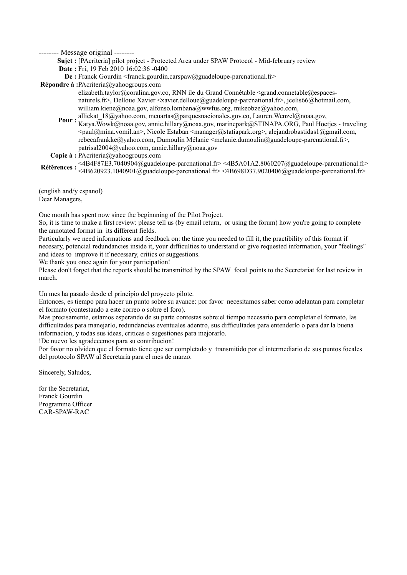**Sujet :** [PAcriteria] pilot project - Protected Area under SPAW Protocol - Mid-february review

**Date :** Fri, 19 Feb 2010 16:02:36 -0400

**De** : Franck Gourdin <franck.gourdin.carspaw@guadeloupe-parcnational.fr>

**Répondre à :**PAcriteria@yahoogroups.com

elizabeth.taylor@coralina.gov.co, RNN ile du Grand Connétable <grand.connetable@espacesnaturels.fr>, Delloue Xavier <xavier.delloue@guadeloupe-parcnational.fr>, jcelis66@hotmail.com, william.kiene@noaa.gov, alfonso.lombana@wwfus.org, mikeobze@yahoo.com,

**Pour :** alliekat\_18@yahoo.com, mcuartas@parquesnacionales.gov.co, Lauren.Wenzel@noaa.gov,<br>Pour : Ketus Wend @noos\_gov, aggio billagu@noso\_gov, magia predi@STNA PA\_OBC\_Poul Use Katya.Wowk@noaa.gov, annie.hillary@noaa.gov, marinepark@STINAPA.ORG, Paul Hoetjes - traveling <paul@mina.vomil.an>, Nicole Estaban <manager@statiapark.org>, alejandrobastidas1@gmail.com, rebecafrankke@yahoo.com, Dumoulin Mélanie <melanie.dumoulin@guadeloupe-parcnational.fr>, patrisal2004@yahoo.com, annie.hillary@noaa.gov

**Copie à :** PAcriteria@yahoogroups.com

**Références :**  <4B4F87E3.7040904@guadeloupe-parcnational.fr> <4B5A01A2.8060207@guadeloupe-parcnational.fr> <4B620923.1040901@guadeloupe-parcnational.fr> <4B698D37.9020406@guadeloupe-parcnational.fr>

(english and/y espanol) Dear Managers,

One month has spent now since the beginnning of the Pilot Project.

So, it is time to make a first review: please tell us (by email return, or using the forum) how you're going to complete the annotated format in its different fields.

Particularly we need informations and feedback on: the time you needed to fill it, the practibility of this format if necesary, potencial redundancies inside it, your difficulties to understand or give requested information, your "feelings" and ideas to improve it if necessary, critics or suggestions.

We thank you once again for your participation!

Please don't forget that the reports should be transmitted by the SPAW focal points to the Secretariat for last review in march.

Un mes ha pasado desde el principio del proyecto pilote.

Entonces, es tiempo para hacer un punto sobre su avance: por favor necesitamos saber como adelantan para completar el formato (contestando a este correo o sobre el foro).

Mas precisamente, estamos esperando de su parte contestas sobre:el tiempo necesario para completar el formato, las difficultades para manejarlo, redundancias eventuales adentro, sus difficultades para entenderlo o para dar la buena informacion, y todas sus ideas, criticas o sugestiones para mejorarlo.

!De nuevo les agradecemos para su contribucion!

Por favor no olviden que el formato tiene que ser completado y transmitido por el intermediario de sus puntos focales del protocolo SPAW al Secretaria para el mes de marzo.

Sincerely, Saludos,

for the Secretariat, Franck Gourdin Programme Officer CAR-SPAW-RAC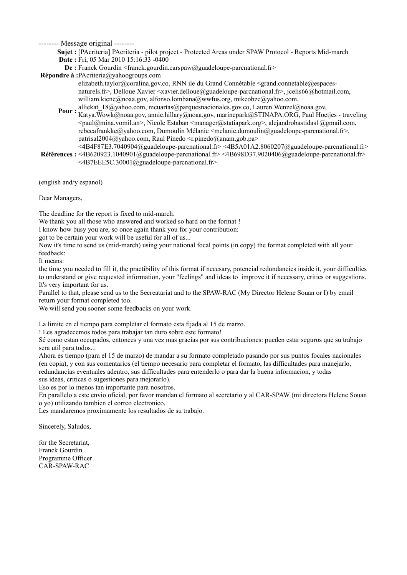**Sujet :** [PAcriteria] PAcriteria - pilot project - Protected Areas under SPAW Protocol - Reports Mid-march **Date :** Fri, 05 Mar 2010 15:16:33 -0400

**De :** Franck Gourdin <franck.gourdin.carspaw@guadeloupe-parcnational.fr>

**Répondre à :**PAcriteria@yahoogroups.com

elizabeth.taylor@coralina.gov.co, RNN ile du Grand Connétable <grand.connetable@espacesnaturels.fr>, Delloue Xavier <xavier.delloue@guadeloupe-parcnational.fr>, jcelis66@hotmail.com, william.kiene@noaa.gov, alfonso.lombana@wwfus.org, mikeobze@yahoo.com,

**Pour :** alliekat\_18@yahoo.com, mcuartas@parquesnacionales.gov.co, Lauren.Wenzel@noaa.gov,<br>Pour : Ketus Wend @noos\_gov, aggio billagu@noso\_gov, magia predi@STNA PA\_OBC\_Poul Use Katya.Wowk@noaa.gov, annie.hillary@noaa.gov, marinepark@STINAPA.ORG, Paul Hoetjes - traveling  $\epsilon$ paul@mina.vomil.an>, Nicole Estaban  $\epsilon$ manager@statiapark.org>, alejandrobastidas1@gmail.com, rebecafrankke@yahoo.com, Dumoulin Mélanie <melanie.dumoulin@guadeloupe-parcnational.fr>, patrisal2004@yahoo.com, Raul Pinedo <r.pinedo@anam.gob.pa>

**Références :**  <4B620923.1040901@guadeloupe-parcnational.fr> <4B698D37.9020406@guadeloupe-parcnational.fr>  $\leq$ 4B4F87E3.7040904@guadeloupe-parcnational.fr> $\leq$ 4B5A01A2.8060207@guadeloupe-parcnational.fr> <4B7EEE5C.30001@guadeloupe-parcnational.fr>

(english and/y espanol)

Dear Managers,

The deadline for the report is fixed to mid-march.

We thank you all those who answered and worked so hard on the format !

I know how busy you are, so once again thank you for your contribution:

got to be certain your work will be useful for all of us...

Now it's time to send us (mid-march) using your national focal points (in copy) the format completed with all your feedback:

It means:

the time you needed to fill it, the practibility of this format if necesary, potencial redundancies inside it, your difficulties to understand or give requested information, your "feelings" and ideas to improve it if necessary, critics or suggestions. It's very important for us.

Parallel to that, please send us to the Secreatariat and to the SPAW-RAC (My Director Helene Souan or I) by email return your format completed too.

We will send you sooner some feedbacks on your work.

La limite en el tiempo para completar el formato esta fijada al 15 de marzo.

! Les agradecemos todos para trabajar tan duro sobre este formato!

Sé como estan occupados, entonces y una vez mas gracias por sus contribuciones: pueden estar seguros que su trabajo sera util para todos...

Ahora es tiempo (para el 15 de marzo) de mandar a su formato completado pasando por sus puntos focales nacionales (en copia), y con sus comentarios (el tiempo necesario para completar el formato, las difficultades para manejarlo, redundancias eventuales adentro, sus difficultades para entenderlo o para dar la buena informacion, y todas

sus ideas, criticas o sugestiones para mejorarlo).

Eso es por lo menos tan importante para nosotros.

En parallelo a este envio oficial, por favor mandan el formato al secretario y al CAR-SPAW (mi directora Helene Souan o yo) utilizando tambien el correo electronico.

Les mandaremos proximamente los resultados de su trabajo.

Sincerely, Saludos,

for the Secretariat, Franck Gourdin Programme Officer CAR-SPAW-RAC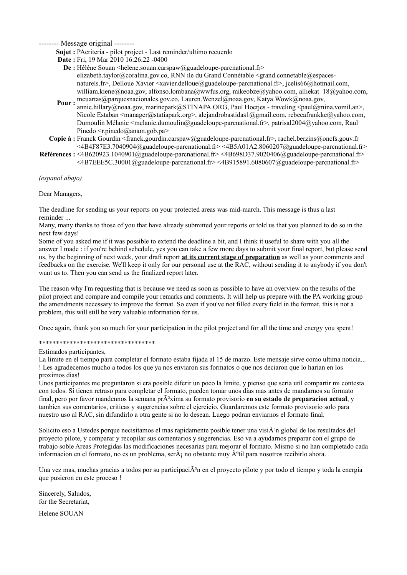**Sujet :** PAcriteria - pilot project - Last reminder/ultimo recuerdo

**Date :** Fri, 19 Mar 2010 16:26:22 -0400

- **De :** Hélène Souan <helene.souan.carspaw@guadeloupe-parcnational.fr> elizabeth.taylor@coralina.gov.co, RNN ile du Grand Connétable <grand.connetable@espacesnaturels.fr>, Delloue Xavier <xavier.delloue@guadeloupe-parcnational.fr>, jcelis66@hotmail.com, william.kiene@noaa.gov, alfonso.lombana@wwfus.org, mikeobze@yahoo.com, alliekat\_18@yahoo.com,
- **Pour :** mcuartas@parquesnacionales.gov.co, Lauren.Wenzel@noaa.gov, Katya.Wowk@noaa.gov,<br>Pour : santa hillam@ness\_est\_merinescal@STDLADA\_OBC\_Poul Hestics\_treveling\_cavul@nu annie.hillary@noaa.gov, marinepark@STINAPA.ORG, Paul Hoetjes - traveling <paul@mina.vomil.an>, Nicole Estaban <manager@statiapark.org>, alejandrobastidas1@gmail.com, rebecafrankke@yahoo.com, Dumoulin Mélanie <melanie.dumoulin@guadeloupe-parcnational.fr>, patrisal2004@yahoo.com, Raul Pinedo  $\leq r$ .pinedo@anam.gob.pa>
- **Copie à :** Franck Gourdin <franck.gourdin.carspaw@guadeloupe-parcnational.fr>, rachel.berzins@oncfs.gouv.fr <4B4F87E3.7040904@guadeloupe-parcnational.fr> <4B5A01A2.8060207@guadeloupe-parcnational.fr>
- **Références :**  <4B620923.1040901@guadeloupe-parcnational.fr> <4B698D37.9020406@guadeloupe-parcnational.fr>  $\leq$ 4B7EEE5C.30001@guadeloupe-parcnational.fr> $\leq$ 4B915891.6080607@guadeloupe-parcnational.fr>

*(espanol abajo)*

#### Dear Managers,

The deadline for sending us your reports on your protected areas was mid-march. This message is thus a last reminder ...

Many, many thanks to those of you that have already submitted your reports or told us that you planned to do so in the next few days!

Some of you asked me if it was possible to extend the deadline a bit, and I think it useful to share with you all the answer I made : if you're behind schedule, yes you can take a few more days to submit your final report, but please send us, by the beginning of next week, your draft report **at its current stage of preparation** as well as your comments and feedbacks on the exercise. We'll keep it only for our personal use at the RAC, without sending it to anybody if you don't want us to. Then you can send us the finalized report later.

The reason why I'm requesting that is because we need as soon as possible to have an overview on the results of the pilot project and compare and compile your remarks and comments. It will help us prepare with the PA working group the amendments necessary to improve the format. So even if you've not filled every field in the format, this is not a problem, this will still be very valuable information for us.

Once again, thank you so much for your participation in the pilot project and for all the time and energy you spent!

#### \*\*\*\*\*\*\*\*\*\*\*\*\*\*\*\*\*\*\*\*\*\*\*\*\*\*\*\*\*\*\*\*\*\*

Estimados participantes,

La limite en el tiempo para completar el formato estaba fijada al 15 de marzo. Este mensaje sirve como ultima noticia... ! Les agradecemos mucho a todos los que ya nos enviaron sus formatos o que nos deciaron que lo harian en los proximos dias!

Unos participantes me preguntaron si era posible diferir un poco la limite, y pienso que seria util compartir mi contesta con todos. Si tienen retraso para completar el formato, pueden tomar unos dias mas antes de mandarnos su formato final, pero por favor mandennos la semana pr $\tilde{A}^3$ xima su formato provisorio en su estado de preparacion actual, y tambien sus comentarios, criticas y sugerencias sobre el ejercicio. Guardaremos este formato provisorio solo para nuestro uso al RAC, sin difundirlo a otra gente si no lo desean. Luego podran enviarnos el formato final.

Solicito eso a Ustedes porque necisitamos el mas rapidamente posible tener una visi $\tilde{A}^3$ n global de los resultados del proyecto pilote, y comparar y recopilar sus comentarios y sugerencias. Eso va a ayudarnos preparar con el grupo de trabajo soble Areas Protegidas las modificaciones necesarias para mejorar el formato. Mismo si no han completado cada informacion en el formato, no es un problema, ser $\tilde{A}$ ; no obstante muy  $\tilde{A}^{\circ}$ til para nosotros recibirlo ahora.

Una vez mas, muchas gracias a todos por su participaci $\tilde{A}^3$ n en el proyecto pilote y por todo el tiempo y toda la energia que pusieron en este proceso !

Sincerely, Saludos, for the Secretariat,

Helene SOUAN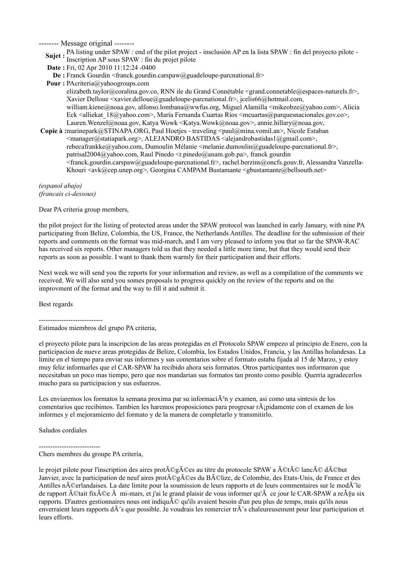**Sujet** : PA listing under SPAW : end of the pilot project - insclusión AP en la lista SPAW : fin del proyecto pilote -Inscription AP sous SPAW : fin du projet pilote

**Date :** Fri, 02 Apr 2010 11:12:24 -0400

**De** : Franck Gourdin <franck.gourdin.carspaw@guadeloupe-parcnational.fr>

**Pour :** PAcriteria@yahoogroups.com

elizabeth.taylor@coralina.gov.co, RNN ile du Grand Connétable <grand.connetable@espaces-naturels.fr>, Xavier Delloue <xavier.delloue@guadeloupe-parcnational.fr>, jcelis66@hotmail.com, william.kiene@noaa.gov, alfonso.lombana@wwfus.org, Miguel Alamilla <mikeobze@yahoo.com>, Alicia Eck <alliekat  $18@$ yahoo.com>, María Fernanda Cuartas Ríos <mcuartas @parquesnacionales.gov.co>, Lauren.Wenzel@noaa.gov, Katya Wowk <Katya.Wowk@noaa.gov>, annie.hillary@noaa.gov,

**Copie à :** marinepark@STINAPA.ORG, Paul Hoetjes - traveling <paul@mina.vomil.an>, Nicole Estaban <manager@statiapark.org>, ALEJANDRO BASTIDAS <alejandrobastidas1@gmail.com>, rebecafrankke@yahoo.com, Dumoulin Mélanie <melanie.dumoulin@guadeloupe-parcnational.fr>, patrisal2004@yahoo.com, Raul Pinedo <r.pinedo@anam.gob.pa>, franck gourdin <franck.gourdin.carspaw@guadeloupe-parcnational.fr>, rachel.berzins@oncfs.gouv.fr, Alessandra Vanzella-Khouri <avk@cep.unep.org>, Georgina CAMPAM Bustamante <gbustamante@bellsouth.net>

*(espanol abajo) (francais ci-dessous)* 

Dear PA criteria group members,

the pilot project for the listing of protected areas under the SPAW protocol was launched in early January, with nine PA participating from Belize, Colombia, the US, France, the Netherlands Antilles. The deadline for the submission of their reports and comments on the format was mid-march, and I am very pleased to inform you that so far the SPAW-RAC has received six reports. Other managers told us that they needed a little more time, but that they would send their reports as soon as possible. I want to thank them warmly for their participation and their efforts.

Next week we will send you the reports for your information and review, as well as a compilation of the comments we received. We will also send you somes proposals to progress quickly on the review of the reports and on the improvment of the format and the way to fill it and submit it.

Best regards

----------------------------

Estimados miembros del grupo PA criteria,

el proyecto pilote para la inscripcion de las areas protegidas en el Protocolo SPAW empezo al principio de Enero, con la participacion de nueve areas protegidas de Belize, Colombia, los Estados Unidos, Francia, y las Antillas holandesas. La limite en el tiempo para enviar sus informes y sus comentarios sobre el formato estaba fijada al 15 de Marzo, y estoy muy feliz informarles que el CAR-SPAW ha recibido ahora seis formatos. Otros participantes nos informaron que necesitaban un poco mas tiempo, pero que nos mandarian sus formatos tan pronto como posible. Querria agradecerlos mucho para su participacion y sus esfuerzos.

Les enviaremos los formatos la semana proxima par su informaci $\tilde{A}^3$ n y examen, asi como una sintesis de los comentarios que recibimos. Tambien les haremos proposiciones para progresar r¡pidamente con el examen de los informes y el mejoramiento del formato y de la manera de completarlo y transmitirlo.

Saludos cordiales

--------------------------- Chers membres du groupe PA criteria,

le projet pilote pour l'inscription des aires prot $\tilde{A} \mathbb{Q}$ gã $\tilde{A} \mathbb{Q}$ es au titre du protocole SPAW a  $\tilde{A} \mathbb{C}$ tã $\tilde{A} \mathbb{C}$ lanc $\tilde{A} \mathbb{C}$ d $\tilde{A} \mathbb{C}$ but Janvier, avec la participation de neuf aires prot©gées du Bélize, de Colombie, des Etats-Unis, de France et des Antilles néerlandaises. La date limite pour la soumission de leurs rapports et de leurs commentaires sur le modà le de rapport  $\tilde{A}$ ©tait fix $\tilde{A}$ ©e  $\tilde{A}$  mi-mars, et j'ai le grand plaisir de vous informer qu' $\tilde{A}$  ce jour le CAR-SPAW a re $\tilde{A}$ §u six rapports. D'autres gestionnaires nous ont indiqu $\tilde{A}$ C qu'ils avaient besoin d'un peu plus de temps, mais qu'ils nous enverraient leurs rapports d $\tilde{A}$ 's que possible. Je voudrais les remercier tr $\tilde{A}$ 's chaleureusement pour leur participation et leurs efforts.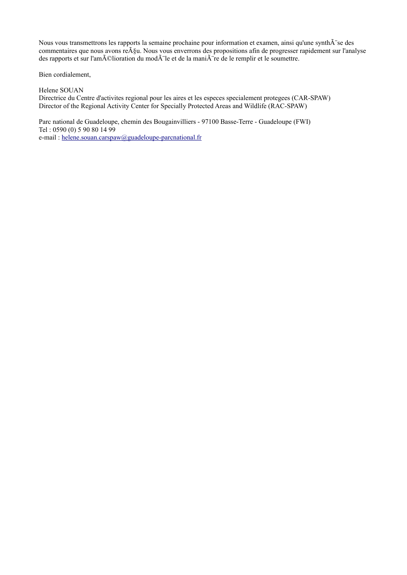Nous vous transmettrons les rapports la semaine prochaine pour information et examen, ainsi qu'une synth $\tilde{A}$ "se des commentaires que nous avons re $\tilde{A}$ §u. Nous vous enverrons des propositions afin de progresser rapidement sur l'analyse des rapports et sur l'am $\tilde{A}$ Clioration du mod $\tilde{A}$  le et de la mani $\tilde{A}$  re de le remplir et le soumettre.

Bien cordialement,

Helene SOUAN

Directrice du Centre d'activites regional pour les aires et les especes specialement protegees (CAR-SPAW) Director of the Regional Activity Center for Specially Protected Areas and Wildlife (RAC-SPAW)

Parc national de Guadeloupe, chemin des Bougainvilliers - 97100 Basse-Terre - Guadeloupe (FWI) Tel : 0590 (0) 5 90 80 14 99 e-mail : [helene.souan.carspaw@guadeloupe-parcnational.fr](mailto:helene.souan.carspaw@guadeloupe-parcnational.fr)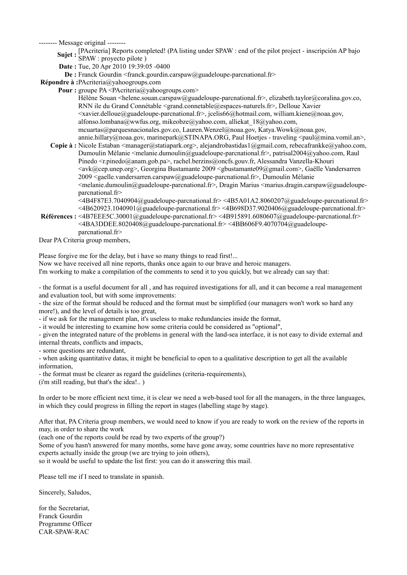- **Sujet** : [PAcriteria] Reports completed! (PA listing under SPAW : end of the pilot project inscripción AP bajo SPAW : proyecto pilote )
- **Date :** Tue, 20 Apr 2010 19:39:05 -0400
- **De :** Franck Gourdin <franck.gourdin.carspaw@guadeloupe-parcnational.fr>

```
Répondre à :PAcriteria@yahoogroups.com
```
**Pour** : groupe PA <PAcriteria@yahoogroups.com>

Hélène Souan <helene.souan.carspaw@guadeloupe-parcnational.fr>, elizabeth.taylor@coralina.gov.co, RNN ile du Grand Connétable <grand.connetable@espaces-naturels.fr>, Delloue Xavier <xavier.delloue@guadeloupe-parcnational.fr>, jcelis66@hotmail.com, william.kiene@noaa.gov, alfonso.lombana@wwfus.org, mikeobze@yahoo.com, alliekat\_18@yahoo.com, mcuartas@parquesnacionales.gov.co, Lauren.Wenzel@noaa.gov, Katya.Wowk@noaa.gov, annie.hillary@noaa.gov, marinepark@STINAPA.ORG, Paul Hoetjes - traveling <paul@mina.vomil.an>,

- Copie à : Nicole Estaban <manager@statiapark.org>, alejandrobastidas1@gmail.com, rebecafrankke@yahoo.com, Dumoulin Mélanie <melanie.dumoulin@guadeloupe-parcnational.fr>, patrisal2004@yahoo.com, Raul Pinedo <robumble anam.gob.pa>, rachel.berzins@oncfs.gouv.fr, Alessandra Vanzella-Khouri <avk@cep.unep.org>, Georgina Bustamante 2009 <gbustamante09@gmail.com>, Gaëlle Vandersarren 2009 <gaelle.vandersarren.carspaw@guadeloupe-parcnational.fr>, Dumoulin Mélanie  $\leq$ melanie.dumoulin@guadeloupe-parcnational.fr>, Dragin Marius  $\leq$ marius.dragin.carspaw@guadeloupeparcnational.fr>
	- $\leq$ 4B4F87E3.7040904@guadeloupe-parcnational.fr> $\leq$ 4B5A01A2.8060207@guadeloupe-parcnational.fr>  $\leq$ 4B620923.1040901@guadeloupe-parcnational.fr> $\leq$ 4B698D37.9020406@guadeloupe-parcnational.fr>
- **Références :**  <4B7EEE5C.30001@guadeloupe-parcnational.fr> <4B915891.6080607@guadeloupe-parcnational.fr>  $\leq$ 4BA3DDEE.8020408@guadeloupe-parcnational.fr> $\leq$ 4BB606F9.4070704@guadeloupeparcnational.fr>

Dear PA Criteria group members,

Please forgive me for the delay, but i have so many things to read first!...

Now we have received all nine reports, thanks once again to our brave and heroic managers.

I'm working to make a compilation of the comments to send it to you quickly, but we already can say that:

- the format is a useful document for all , and has required investigations for all, and it can become a real management and evaluation tool, but with some improvements:

- the size of the format should be reduced and the format must be simplified (our managers won't work so hard any more!), and the level of details is too great,

- if we ask for the management plan, it's useless to make redundancies inside the format,

- it would be interesting to examine how some criteria could be considered as "optional",

- given the integrated nature of the problems in general with the land-sea interface, it is not easy to divide external and internal threats, conflicts and impacts,

- some questions are redundant,

- when asking quantitative datas, it might be beneficial to open to a qualitative description to get all the available information,

- the format must be clearer as regard the guidelines (criteria-requirements),

(i'm still reading, but that's the idea!.. )

In order to be more efficient next time, it is clear we need a web-based tool for all the managers, in the three languages, in which they could progress in filling the report in stages (labelling stage by stage).

After that, PA Criteria group members, we would need to know if you are ready to work on the review of the reports in may, in order to share the work

(each one of the reports could be read by two experts of the group?)

Some of you hasn't answered for many months, some have gone away, some countries have no more representative experts actually inside the group (we are trying to join others),

so it would be useful to update the list first: you can do it answering this mail.

Please tell me if I need to translate in spanish.

Sincerely, Saludos,

for the Secretariat, Franck Gourdin Programme Officer CAR-SPAW-RAC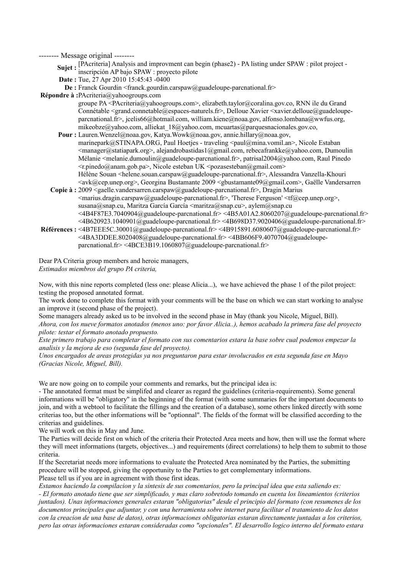**Sujet** : [PAcriteria] Analysis and improvment can begin (phase2) - PA listing under SPAW : pilot project inscripción AP bajo SPAW : proyecto pilote

- **Date :** Tue, 27 Apr 2010 15:45:43 -0400
- **De :** Franck Gourdin <franck.gourdin.carspaw@guadeloupe-parcnational.fr>

**Répondre à :**PAcriteria@yahoogroups.com

groupe PA <PAcriteria@yahoogroups.com>, elizabeth.taylor@coralina.gov.co, RNN ile du Grand Connétable <grand.connetable@espaces-naturels.fr>, Delloue Xavier <xavier.delloue@guadeloupeparcnational.fr>, jcelis66@hotmail.com, william.kiene@noaa.gov, alfonso.lombana@wwfus.org, mikeobze@yahoo.com, alliekat\_18@yahoo.com, mcuartas@parquesnacionales.gov.co,

- Pour : Lauren.Wenzel@noaa.gov, Katya.Wowk@noaa.gov, annie.hillary@noaa.gov, marinepark@STINAPA.ORG, Paul Hoetjes - traveling <paul@mina.vomil.an>, Nicole Estaban <manager@statiapark.org>, alejandrobastidas1@gmail.com, rebecafrankke@yahoo.com, Dumoulin Mélanie <melanie.dumoulin@guadeloupe-parcnational.fr>, patrisal2004@yahoo.com, Raul Pinedo  $\leq$ r.pinedo@anam.gob.pa $>$ , Nicole esteban UK  $\leq$ pozasesteban@gmail.com $>$ Hélène Souan <helene.souan.carspaw@guadeloupe-parcnational.fr>, Alessandra Vanzella-Khouri
- **Copie à :**  2009 <gaelle.vandersarren.carspaw@guadeloupe-parcnational.fr>, Dragin Marius  $\langle \text{avk}(\omega) \rangle$ cep.unep.org>, Georgina Bustamante 2009  $\langle \text{gbustamante09}(\omega) \rangle$ gmail.com>, Gaëlle Vandersarren  $\le$ marius.dragin.carspaw@guadeloupe-parcnational.fr>, 'Therese Ferguson'  $\le$ tf@cep.unep.org>, susana@snap.cu, Maritza García García <maritza@snap.cu>, aylem@snap.cu <4B4F87E3.7040904@guadeloupe-parcnational.fr> <4B5A01A2.8060207@guadeloupe-parcnational.fr>  $\leq$ 4B620923.1040901@guadeloupe-parcnational.fr> $\leq$ 4B698D37.9020406@guadeloupe-parcnational.fr>
- **Références :**  <4B7EEE5C.30001@guadeloupe-parcnational.fr> <4B915891.6080607@guadeloupe-parcnational.fr> <4BA3DDEE.8020408@guadeloupe-parcnational.fr> <4BB606F9.4070704@guadeloupeparcnational.fr> <4BCE3B19.1060807@guadeloupe-parcnational.fr>

Dear PA Criteria group members and heroic managers, *Estimados miembros del grupo PA criteria,*

Now, with this nine reports completed (less one: please Alicia...), we have achieved the phase 1 of the pilot project: testing the proposed annotated format.

The work done to complete this format with your comments will be the base on which we can start working to analyse an improve it (second phase of the project).

Some managers already asked us to be involved in the second phase in May (thank you Nicole, Miguel, Bill). *Ahora, con los nueve formatos anotados (menos uno: por favor Alicia..), hemos acabado la primera fase del proyecto pilote: testar el formato anotado propuesto.*

*Este primero trabajo para completar el formato con sus comentarios estara la base sobre cual podemos empezar la analisis y la mejora de eso (segunda fase del proyecto).*

*Unos encargados de areas protegidas ya nos preguntaron para estar involucrados en esta segunda fase en Mayo (Gracias Nicole, Miguel, Bill).*

We are now going on to compile your comments and remarks, but the principal idea is:

- The annotated format must be simplifed and clearer as regard the guidelines (criteria-requirements). Some general informations will be "obligatory" in the beginning of the format (with some summaries for the important documents to join, and with a webtool to facilitate the fillings and the creation of a database), some others linked directly with some criterias too, but the other informations will be "optionnal". The fields of the format will be classified according to the criterias and guidelines.

We will work on this in May and June.

The Parties will decide first on which of the criteria their Protected Area meets and how, then will use the format where they will meet informations (targets, objectives...) and requirements (direct correlations) to help them to submit to those criteria.

If the Secretariat needs more informations to evaluate the Protected Area nominated by the Parties, the submitting procedure will be stopped, giving the opportunity to the Parties to get complementary informations. Please tell us if you are in agreement with those first ideas.

*Estamos haciendo la compilacion y la sintesis de sus comentarios, pero la principal idea que esta saliendo es:*

*- El formato anotado tiene que ser simplificado, y mas claro sobretodo tomando en cuenta los lineamientos (criterios juntados). Unas informaciones generales estaran "obligatorias" desde el principio del formato (con resumenes de los documentos principales que adjuntar, y con una herramienta sobre internet para facilitar el tratamiento de los datos con la creacion de una base de datos), otras informaciones obligatorias estaran directamente juntadas a los criterios, pero las otras informaciones estaran consideradas como "opcionales". El desarrollo logico interno del formato estara*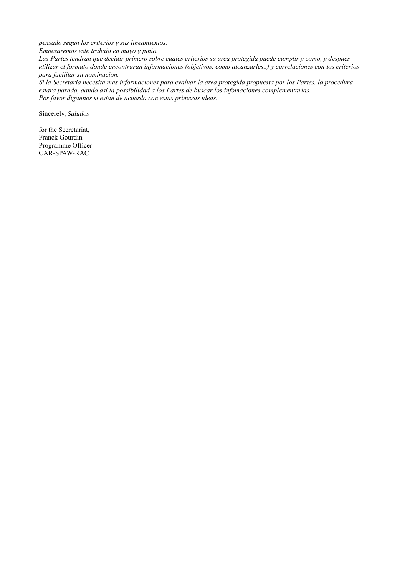*pensado segun los criterios y sus lineamientos.*

*Empezaremos este trabajo en mayo y junio.*

*Las Partes tendran que decidir primero sobre cuales criterios su area protegida puede cumplir y como, y despues utilizar el formato donde encontraran informaciones (objetivos, como alcanzarles..) y correlaciones con los criterios para facilitar su nominacion.*

*Si la Secretaria necesita mas informaciones para evaluar la area protegida propuesta por los Partes, la procedura estara parada, dando asi la possibilidad a los Partes de buscar los infomaciones complementarias. Por favor digannos si estan de acuerdo con estas primeras ideas.*

Sincerely, *Saludos*

for the Secretariat, Franck Gourdin Programme Officer CAR-SPAW-RAC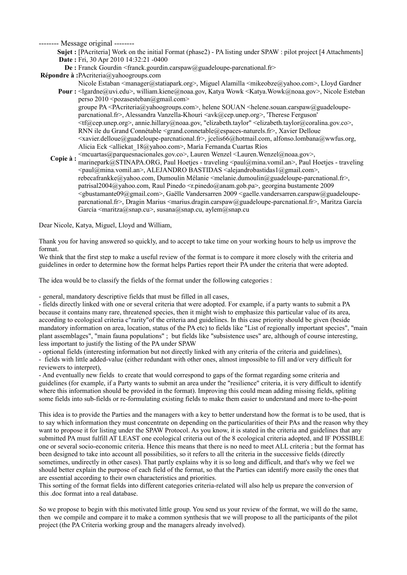**Sujet** : [PAcriteria] Work on the initial Format (phase2) - PA listing under SPAW : pilot project [4 Attachments] **Date :** Fri, 30 Apr 2010 14:32:21 -0400

**De :** Franck Gourdin <franck.gourdin.carspaw@guadeloupe-parcnational.fr>

**Répondre à :**PAcriteria@yahoogroups.com

- **Pour :**  <lgardne@uvi.edu>, william.kiene@noaa.gov, Katya Wowk <Katya.Wowk@noaa.gov>, Nicole Esteban Nicole Estaban <manager@statiapark.org>, Miguel Alamilla <mikeobze@yahoo.com>, Lloyd Gardner perso 2010  $<$ pozasesteban $@g$ gmail.com> groupe PA <PAcriteria@yahoogroups.com>, helene SOUAN <helene.souan.carspaw@guadeloupeparcnational.fr>, Alessandra Vanzella-Khouri <avk@cep.unep.org>, 'Therese Ferguson' <tf@cep.unep.org>, annie.hillary@noaa.gov, "elizabeth.taylor" <elizabeth.taylor@coralina.gov.co>, RNN ile du Grand Connétable <grand.connetable@espaces-naturels.fr>, Xavier Delloue <xavier.delloue@guadeloupe-parcnational.fr>, jcelis66@hotmail.com, alfonso.lombana@wwfus.org, Alicia Eck <alliekat\_18@yahoo.com>, María Fernanda Cuartas Ríos
- **Copie à :**  <mcuartas@parquesnacionales.gov.co>, Lauren Wenzel <Lauren.Wenzel@noaa.gov>, marinepark@STINAPA.ORG, Paul Hoetjes - traveling <paul@mina.vomil.an>, Paul Hoetjes - traveling <paul@mina.vomil.an>, ALEJANDRO BASTIDAS <alejandrobastidas1@gmail.com>, rebecafrankke@yahoo.com, Dumoulin Mélanie <melanie.dumoulin@guadeloupe-parcnational.fr>, patrisal2004@yahoo.com, Raul Pinedo <r.pinedo@anam.gob.pa>, georgina bustamente 2009 <gbustamante09@gmail.com>, Gaëlle Vandersarren 2009 <gaelle.vandersarren.carspaw@guadeloupeparcnational.fr>, Dragin Marius <marius.dragin.carspaw@guadeloupe-parcnational.fr>, Maritza García García  $\leq$ maritza $@$ snap.cu $>$ , susana $@$ snap.cu, aylem $@$ snap.cu

Dear Nicole, Katya, Miguel, Lloyd and William,

Thank you for having answered so quickly, and to accept to take time on your working hours to help us improve the format.

We think that the first step to make a useful review of the format is to compare it more closely with the criteria and guidelines in order to determine how the format helps Parties report their PA under the criteria that were adopted.

The idea would be to classify the fields of the format under the following categories :

- general, mandatory descriptive fields that must be filled in all cases,

- fields directly linked with one or several criteria that were adopted. For example, if a party wants to submit a PA because it contains many rare, threatened species, then it might wish to emphasize this particular value of its area, according to ecological criteria c"rarity"of the criteria and guidelines. In this case priority should be given (beside mandatory information on area, location, status of the PA etc) to fields like "List of regionally important species", "main plant assemblages", "main fauna populations" ; but fields like "subsistence uses" are, although of course interesting, less important to justify the listing of the PA under SPAW

- optional fields (interesting information but not directly linked with any criteria of the criteria and guidelines), - fields with little added-value (either redundant with other ones, almost impossible to fill and/or very difficult for reviewers to interpret),

- And eventually new fields to create that would correspond to gaps of the format regarding some criteria and guidelines (for example, if a Party wants to submit an area under the "resilience" criteria, it is very difficult to identify where this information should be provided in the format). Improving this could mean adding missing fields, spliting some fields into sub-fields or re-formulating existing fields to make them easier to understand and more to-the-point

This idea is to provide the Parties and the managers with a key to better understand how the format is to be used, that is to say which information they must concentrate on depending on the particularities of their PAs and the reason why they want to propose it for listing under the SPAW Protocol. As you know, it is stated in the criteria and guidelines that any submitted PA must fulfill AT LEAST one ecological criteria out of the 8 ecological criteria adopted, and IF POSSIBLE one or several socio-economic criteria. Hence this means that there is no need to meet ALL criteria ; but the format has been designed to take into account all possibilities, so it refers to all the criteria in the successive fields (directly sometimes, undirectly in other cases). That partly explains why it is so long and difficult, and that's why we feel we should better explain the purpose of each field of the format, so that the Parties can identify more easily the ones that are essential according to their own characteristics and priorities.

This sorting of the format fields into different categories criteria-related will also help us prepare the conversion of this .doc format into a real database.

So we propose to begin with this motivated little group. You send us your review of the format, we will do the same, then we compile and compare it to make a common synthesis that we will propose to all the participants of the pilot project (the PA Criteria working group and the managers already involved).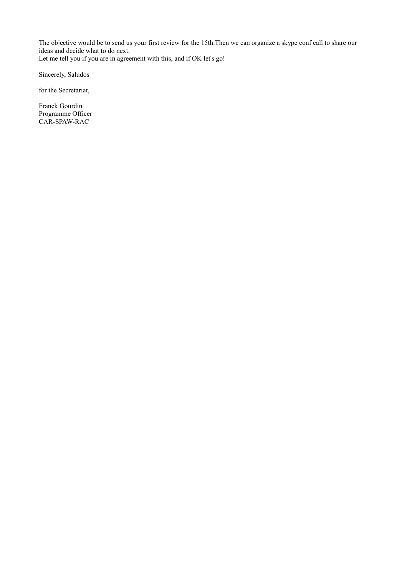The objective would be to send us your first review for the 15th.Then we can organize a skype conf call to share our ideas and decide what to do next.

Let me tell you if you are in agreement with this, and if OK let's go!

Sincerely, Saludos

for the Secretariat,

Franck Gourdin Programme Officer CAR-SPAW-RAC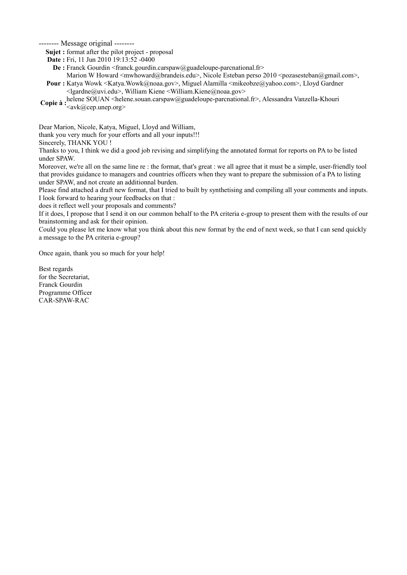**Sujet :** format after the pilot project - proposal

**Date :** Fri, 11 Jun 2010 19:13:52 -0400

**De :** Franck Gourdin <franck.gourdin.carspaw@guadeloupe-parcnational.fr>

**Pour** : Katya Wowk <Katya.Wowk@noaa.gov>, Miguel Alamilla <mikeobze@yahoo.com>, Lloyd Gardner Marion W Howard <mwhoward@brandeis.edu>, Nicole Esteban perso 2010 <pozasesteban@gmail.com>,

<lgardne@uvi.edu>, William Kiene <William.Kiene@noaa.gov>

**Copie à** : helene SOUAN <helene.souan.carspaw@guadeloupe-parcnational.fr>, Alessandra Vanzella-Khouri <avk@cep.unep.org>

Dear Marion, Nicole, Katya, Miguel, Lloyd and William,

thank you very much for your efforts and all your inputs!!!

Sincerely, THANK YOU !

Thanks to you, I think we did a good job revising and simplifying the annotated format for reports on PA to be listed under SPAW.

Moreover, we're all on the same line re : the format, that's great : we all agree that it must be a simple, user-friendly tool that provides guidance to managers and countries officers when they want to prepare the submission of a PA to listing under SPAW, and not create an additionnal burden.

Please find attached a draft new format, that I tried to built by synthetising and compiling all your comments and inputs. I look forward to hearing your feedbacks on that :

does it reflect well your proposals and comments?

If it does, I propose that I send it on our common behalf to the PA criteria e-group to present them with the results of our brainstorming and ask for their opinion.

Could you please let me know what you think about this new format by the end of next week, so that I can send quickly a message to the PA criteria e-group?

Once again, thank you so much for your help!

Best regards for the Secretariat, Franck Gourdin Programme Officer CAR-SPAW-RAC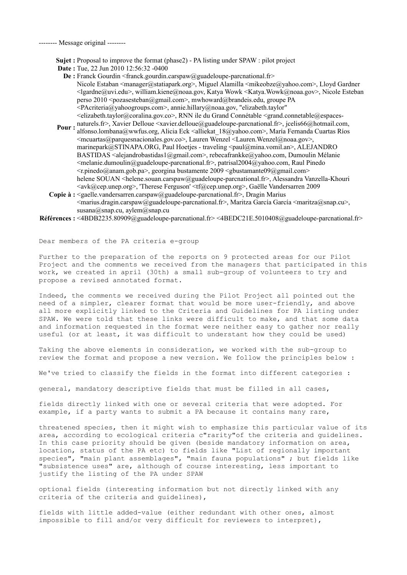**Sujet :** Proposal to improve the format (phase2) - PA listing under SPAW : pilot project

- **Date :** Tue, 22 Jun 2010 12:56:32 -0400
	- **De** : Franck Gourdin <franck.gourdin.carspaw@guadeloupe-parcnational.fr> Nicole Estaban <manager@statiapark.org>, Miguel Alamilla <mikeobze@yahoo.com>, Lloyd Gardner <lgardne@uvi.edu>, william.kiene@noaa.gov, Katya Wowk <Katya.Wowk@noaa.gov>, Nicole Esteban perso 2010 <pozasesteban@gmail.com>, mwhoward@brandeis.edu, groupe PA <PAcriteria@yahoogroups.com>, annie.hillary@noaa.gov, "elizabeth.taylor" <elizabeth.taylor@coralina.gov.co>, RNN ile du Grand Connétable <grand.connetable@espaces-
- **Pour :** naturels.fr>, Xavier Delloue <xavier.delloue@guadeloupe-parcnational.fr>, jcelis66@hotmail.com,<br>**Pour** : elsence lambare@unifice.com, Alisie Esk Sellislat, 19@unhee.com>, María Fermanda Cuartes Pías alfonso.lombana@wwfus.org, Alicia Eck <alliekat\_18@yahoo.com>, María Fernanda Cuartas Ríos  $\leq$ mcuartas@parquesnacionales.gov.co>, Lauren Wenzel  $\leq$ Lauren.Wenzel@noaa.gov>, marinepark@STINAPA.ORG, Paul Hoetjes - traveling <paul@mina.vomil.an>, ALEJANDRO BASTIDAS <alejandrobastidas1@gmail.com>, rebecafrankke@yahoo.com, Dumoulin Mélanie  $\leq$ melanie.dumoulin@guadeloupe-parcnational.fr>, patrisal2004@yahoo.com, Raul Pinedo  $\langle$ r.pinedo@anam.gob.pa>, georgina bustamente 2009  $\langle$ gbustamante09@gmail.com> helene SOUAN <helene.souan.carspaw@guadeloupe-parcnational.fr>, Alessandra Vanzella-Khouri <avk@cep.unep.org>, 'Therese Ferguson' <tf@cep.unep.org>, Gaëlle Vandersarren 2009
- **Copie à :**  <gaelle.vandersarren.carspaw@guadeloupe-parcnational.fr>, Dragin Marius <marius.dragin.carspaw@guadeloupe-parcnational.fr>, Maritza García García <maritza@snap.cu>, susana@snap.cu, aylem@snap.cu
- **Références :** <4BDB2235.80909@guadeloupe-parcnational.fr> <4BEDC21E.5010408@guadeloupe-parcnational.fr>

Dear members of the PA criteria e-group

Further to the preparation of the reports on 9 protected areas for our Pilot Project and the comments we received from the managers that participated in this work, we created in april (30th) a small sub-group of volunteers to try and propose a revised annotated format.

Indeed, the comments we received during the Pilot Project all pointed out the need of a simpler, clearer format that would be more user-friendly, and above all more explicitly linked to the Criteria and Guidelines for PA listing under SPAW. We were told that these links were difficult to make, and that some data and information requested in the format were neither easy to gather nor really useful (or at least, it was difficult to understant how they could be used)

Taking the above elements in consideration, we worked with the sub-group to review the format and propose a new version. We follow the principles below :

We've tried to classify the fields in the format into different categories :

general, mandatory descriptive fields that must be filled in all cases,

fields directly linked with one or several criteria that were adopted. For example, if a party wants to submit a PA because it contains many rare,

threatened species, then it might wish to emphasize this particular value of its area, according to ecological criteria c"rarity"of the criteria and guidelines. In this case priority should be given (beside mandatory information on area, location, status of the PA etc) to fields like "List of regionally important species", "main plant assemblages", "main fauna populations" ; but fields like "subsistence uses" are, although of course interesting, less important to justify the listing of the PA under SPAW

optional fields (interesting information but not directly linked with any criteria of the criteria and guidelines),

fields with little added-value (either redundant with other ones, almost impossible to fill and/or very difficult for reviewers to interpret),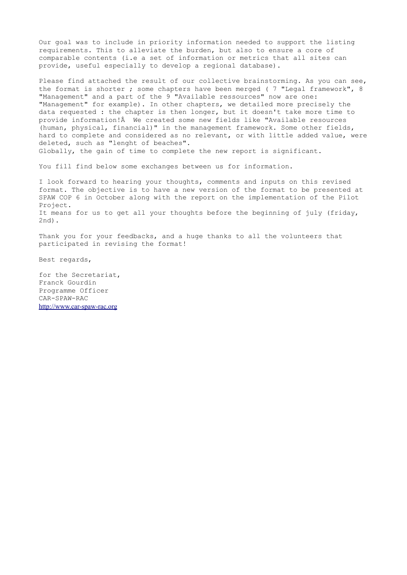Our goal was to include in priority information needed to support the listing requirements. This to alleviate the burden, but also to ensure a core of comparable contents (i.e a set of information or metrics that all sites can provide, useful especially to develop a regional database).

Please find attached the result of our collective brainstorming. As you can see, the format is shorter ; some chapters have been merged ( 7 "Legal framework", 8 "Management" and a part of the 9 "Available ressources" now are one: "Management" for example). In other chapters, we detailed more precisely the data requested : the chapter is then longer, but it doesn't take more time to provide information! We created some new fields like "Available resources (human, physical, financial)" in the management framework. Some other fields, hard to complete and considered as no relevant, or with little added value, were deleted, such as "lenght of beaches". Globally, the gain of time to complete the new report is significant.

You fill find below some exchanges between us for information.

I look forward to hearing your thoughts, comments and inputs on this revised format. The objective is to have a new version of the format to be presented at SPAW COP 6 in October along with the report on the implementation of the Pilot Project. It means for us to get all your thoughts before the beginning of july (friday, 2nd).

Thank you for your feedbacks, and a huge thanks to all the volunteers that participated in revising the format!

Best regards,

for the Secretariat, Franck Gourdin Programme Officer CAR-SPAW-RAC [http://www.car-spaw-rac.org](http://www.car-spaw-rac.org/)